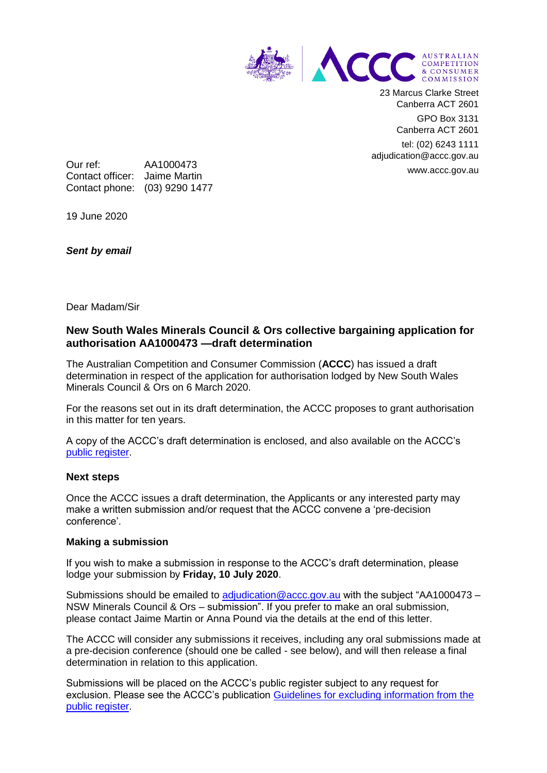

23 Marcus Clarke Street Canberra ACT 2601

> GPO Box 3131 Canberra ACT 2601

tel: (02) 6243 1111 adjudication@accc.gov.au www.accc.gov.au

Our ref: AA1000473 Contact officer: Jaime Martin Contact phone: (03) 9290 1477

19 June 2020

*Sent by email*

Dear Madam/Sir

# **New South Wales Minerals Council & Ors collective bargaining application for authorisation AA1000473 —draft determination**

The Australian Competition and Consumer Commission (**ACCC**) has issued a draft determination in respect of the application for authorisation lodged by New South Wales Minerals Council & Ors on 6 March 2020.

For the reasons set out in its draft determination, the ACCC proposes to grant authorisation in this matter for ten years.

A copy of the ACCC's draft determination is enclosed, and also available on the ACCC's [public register.](https://www.accc.gov.au/public-registers/authorisations-and-notifications-registers/authorisations-register/new-south-wales-minerals-council-nswmc)

### **Next steps**

Once the ACCC issues a draft determination, the Applicants or any interested party may make a written submission and/or request that the ACCC convene a 'pre-decision conference'.

### **Making a submission**

If you wish to make a submission in response to the ACCC's draft determination, please lodge your submission by **Friday, 10 July 2020**.

Submissions should be emailed to [adjudication@accc.gov.au](mailto:adjudication@accc.gov.au) with the subject "AA1000473 – NSW Minerals Council & Ors – submission". If you prefer to make an oral submission, please contact Jaime Martin or Anna Pound via the details at the end of this letter.

The ACCC will consider any submissions it receives, including any oral submissions made at a pre-decision conference (should one be called - see below), and will then release a final determination in relation to this application.

Submissions will be placed on the ACCC's public register subject to any request for exclusion. Please see the ACCC's publication [Guidelines for excluding information from the](https://www.accc.gov.au/publications/guidelines-for-excluding-information-from-the-public-register-for-authorisation-and-notification-processes)  [public register.](https://www.accc.gov.au/publications/guidelines-for-excluding-information-from-the-public-register-for-authorisation-and-notification-processes)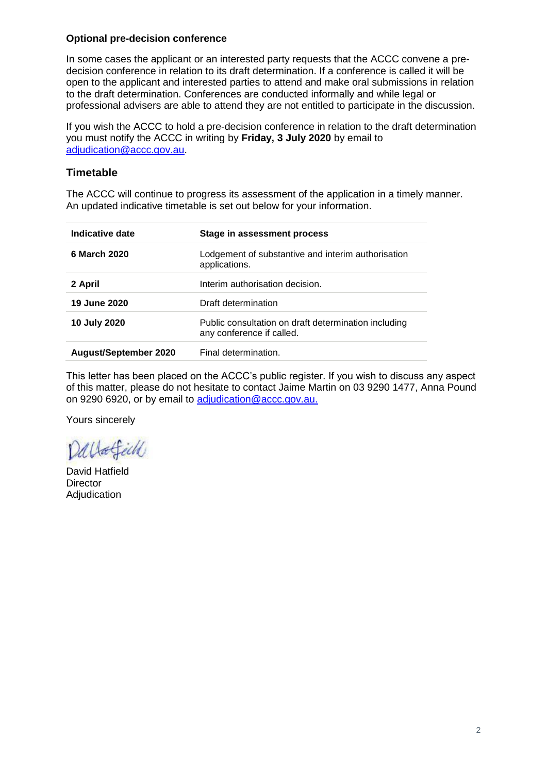### **Optional pre-decision conference**

In some cases the applicant or an interested party requests that the ACCC convene a predecision conference in relation to its draft determination. If a conference is called it will be open to the applicant and interested parties to attend and make oral submissions in relation to the draft determination. Conferences are conducted informally and while legal or professional advisers are able to attend they are not entitled to participate in the discussion.

If you wish the ACCC to hold a pre-decision conference in relation to the draft determination you must notify the ACCC in writing by **Friday, 3 July 2020** by email to [adjudication@accc.gov.au.](mailto:adjudication@accc.gov.au)

# **Timetable**

The ACCC will continue to progress its assessment of the application in a timely manner. An updated indicative timetable is set out below for your information.

| Indicative date              | Stage in assessment process                                                       |
|------------------------------|-----------------------------------------------------------------------------------|
| 6 March 2020                 | Lodgement of substantive and interim authorisation<br>applications.               |
| 2 April                      | Interim authorisation decision.                                                   |
| 19 June 2020                 | Draft determination                                                               |
| 10 July 2020                 | Public consultation on draft determination including<br>any conference if called. |
| <b>August/September 2020</b> | Final determination.                                                              |

This letter has been placed on the ACCC's public register. If you wish to discuss any aspect of this matter, please do not hesitate to contact Jaime Martin on 03 9290 1477, Anna Pound on 9290 6920, or by email to [adjudication@accc.gov.au.](mailto:adjudication@accc.gov.au)

Yours sincerely

Dallafell

David Hatfield **Director** Adjudication